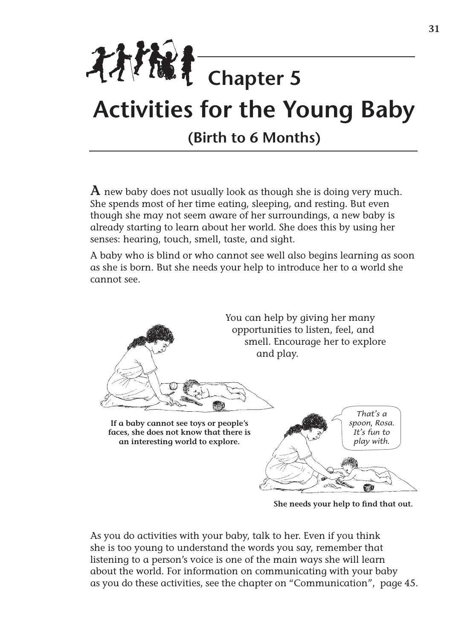

**A** new baby does not usually look as though she is doing very much. She spends most of her time eating, sleeping, and resting. But even though she may not seem aware of her surroundings, a new baby is already starting to learn about her world. She does this by using her senses: hearing, touch, smell, taste, and sight.

A baby who is blind or who cannot see well also begins learning as soon as she is born. But she needs your help to introduce her to a world she cannot see.



**She needs your help to find that out.**

As you do activities with your baby, talk to her. Even if you think she is too young to understand the words you say, remember that listening to a person's voice is one of the main ways she will learn about the world. For information on communicating with your baby as you do these activities, see the chapter on "Communication", page 45.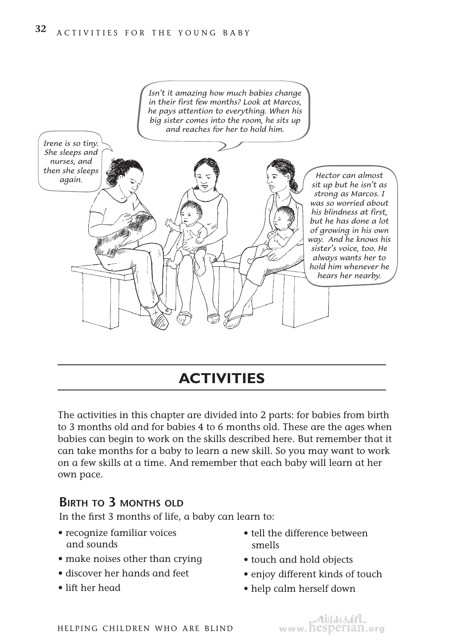

# **ACTIVITIES**

The activities in this chapter are divided into 2 parts: for babies from birth to 3 months old and for babies 4 to 6 months old. These are the ages when babies can begin to work on the skills described here. But remember that it can take months for a baby to learn a new skill. So you may want to work on a few skills at a time. And remember that each baby will learn at her own pace.

## **Birth to 3 months old**

In the first 3 months of life, a baby can learn to:

- recognize familiar voices and sounds
- make noises other than crying
- discover her hands and feet
- lift her head
- tell the difference between smells
- touch and hold objects
- enjoy different kinds of touch
- help calm herself down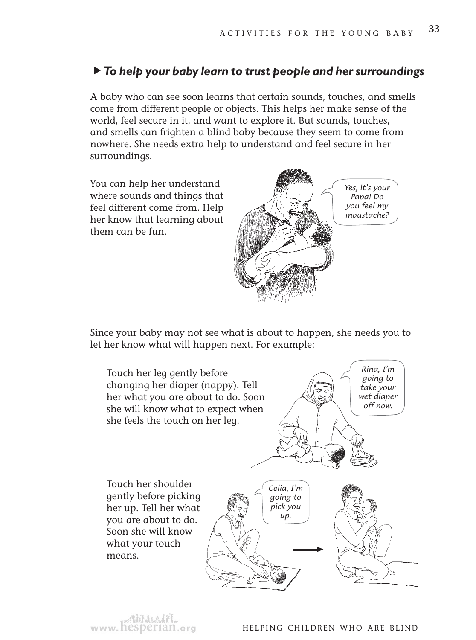## *To help your baby learn to trust people and her surroundings* ▲

A baby who can see soon learns that certain sounds, touches, and smells come from different people or objects. This helps her make sense of the world, feel secure in it, and want to explore it. But sounds, touches, and smells can frighten a blind baby because they seem to come from nowhere. She needs extra help to understand and feel secure in her surroundings.

You can help her understand where sounds and things that feel different come from. Help her know that learning about them can be fun.



Since your baby may not see what is about to happen, she needs you to let her know what will happen next. For example:

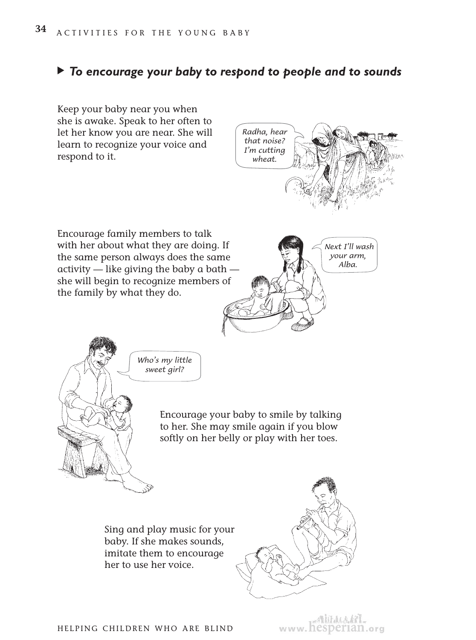#### *To encourage your baby to respond to people and to sounds* ▲

Keep your baby near you when she is awake. Speak to her often to let her know you are near. She will learn to recognize your voice and respond to it.



Encourage family members to talk with her about what they are doing. If the same person always does the same activity — like giving the baby a bath she will begin to recognize members of the family by what they do.





Encourage your baby to smile by talking to her. She may smile again if you blow softly on her belly or play with her toes.

Sing and play music for your baby. If she makes sounds, imitate them to encourage her to use her voice.

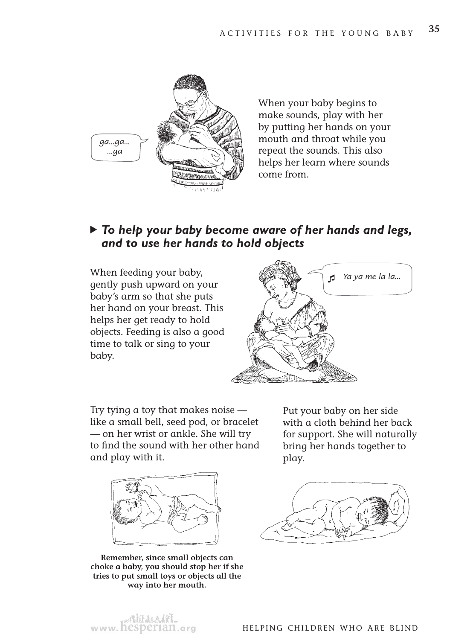

When your baby begins to make sounds, play with her by putting her hands on your mouth and throat while you repeat the sounds. This also helps her learn where sounds come from.

#### *To help your baby become aware of her hands and legs,*  ▲ *and to use her hands to hold objects*

When feeding your baby, gently push upward on your baby's arm so that she puts her hand on your breast. This helps her get ready to hold objects. Feeding is also a good time to talk or sing to your baby.



Try tying a toy that makes noise like a small bell, seed pod, or bracelet — on her wrist or ankle. She will try to find the sound with her other hand and play with it.

Put your baby on her side with a cloth behind her back for support. She will naturally bring her hands together to play.



**Remember, since small objects can choke a baby, you should stop her if she tries to put small toys or objects all the way into her mouth.**

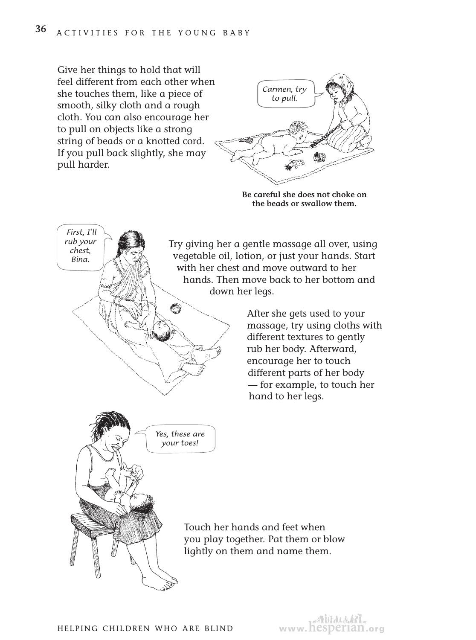Give her things to hold that will feel different from each other when she touches them, like a piece of smooth, silky cloth and a rough cloth. You can also encourage her to pull on objects like a strong string of beads or a knotted cord. If you pull back slightly, she may pull harder.

 *First, I'll rub your chest, Bina.*



**Be careful she does not choke on the beads or swallow them.**



After she gets used to your massage, try using cloths with different textures to gently rub her body. Afterward, encourage her to touch different parts of her body — for example, to touch her hand to her legs.



Touch her hands and feet when you play together. Pat them or blow lightly on them and name them.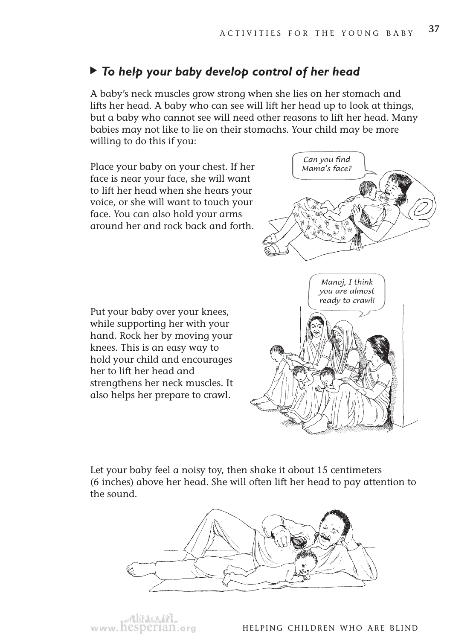## *To help your baby develop control of her head* ▲

A baby's neck muscles grow strong when she lies on her stomach and lifts her head. A baby who can see will lift her head up to look at things, but a baby who cannot see will need other reasons to lift her head. Many babies may not like to lie on their stomachs. Your child may be more willing to do this if you:

Place your baby on your chest. If her face is near your face, she will want to lift her head when she hears your voice, or she will want to touch your face. You can also hold your arms around her and rock back and forth.

Put your baby over your knees, while supporting her with your hand. Rock her by moving your knees. This is an easy way to hold your child and encourages her to lift her head and strengthens her neck muscles. It also helps her prepare to crawl.



Let your baby feel a noisy toy, then shake it about 15 centimeters (6 inches) above her head. She will often lift her head to pay attention to the sound.

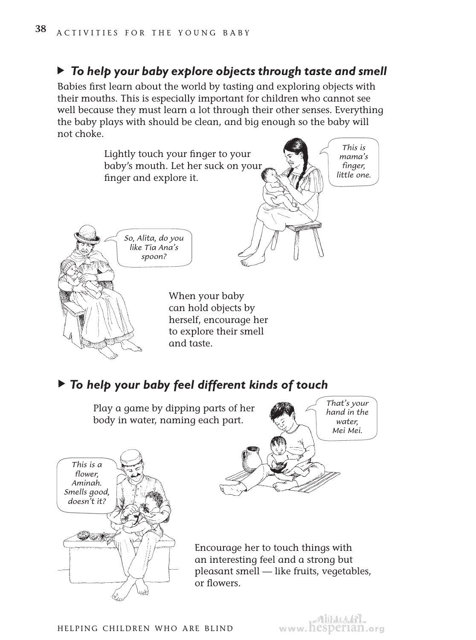## **▶ To help your baby explore objects through taste and smell**

Babies first learn about the world by tasting and exploring objects with their mouths. This is especially important for children who cannot see well because they must learn a lot through their other senses. Everything the baby plays with should be clean, and big enough so the baby will not choke.



to explore their smell and taste.

# *To help your baby feel different kinds of touch* ▲

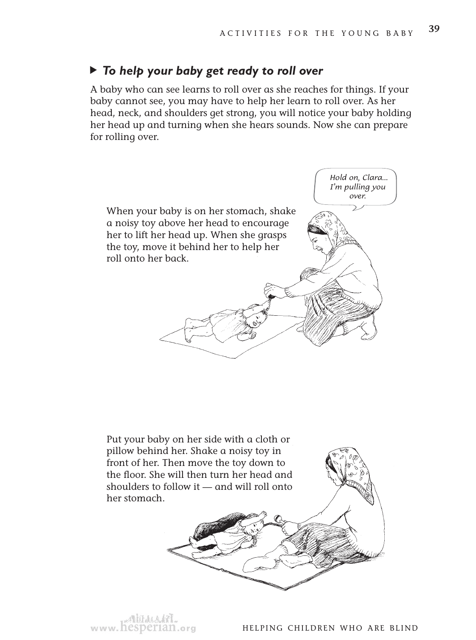### *To help your baby get ready to roll over* ▲

A baby who can see learns to roll over as she reaches for things. If your baby cannot see, you may have to help her learn to roll over. As her head, neck, and shoulders get strong, you will notice your baby holding her head up and turning when she hears sounds. Now she can prepare for rolling over.



Put your baby on her side with a cloth or pillow behind her. Shake a noisy toy in front of her. Then move the toy down to the floor. She will then turn her head and shoulders to follow it — and will roll onto her stomach.

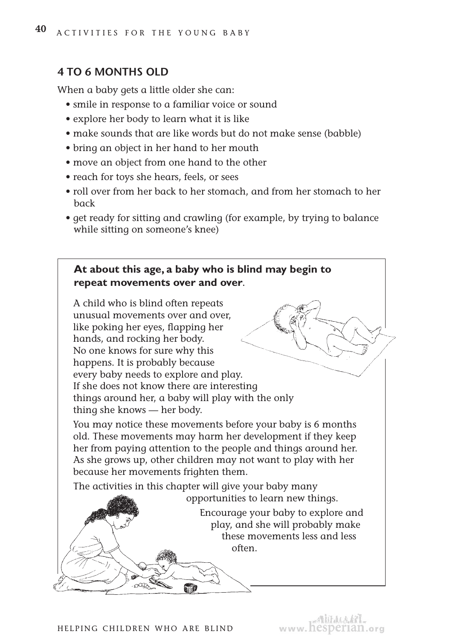#### **4 TO 6 MONTHS OLD**

When a baby gets a little older she can:

- smile in response to a familiar voice or sound
- explore her body to learn what it is like
- make sounds that are like words but do not make sense (babble)
- bring an object in her hand to her mouth
- move an object from one hand to the other
- reach for toys she hears, feels, or sees
- roll over from her back to her stomach, and from her stomach to her back
- get ready for sitting and crawling (for example, by trying to balance while sitting on someone's knee)

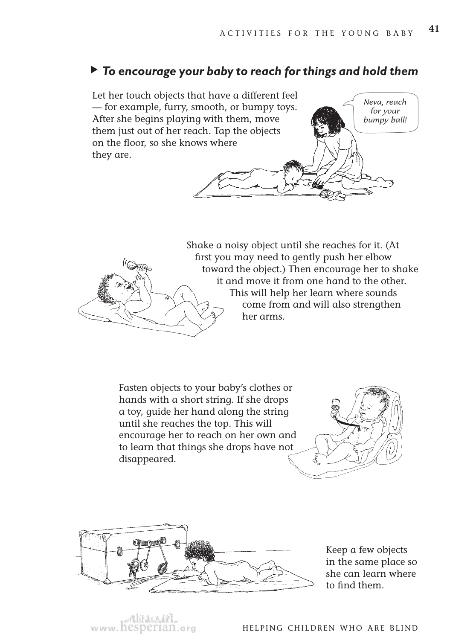*Neva, reach* 

### *To encourage your baby to reach for things and hold them* ▲

Let her touch objects that have a different feel — for example, furry, smooth, or bumpy toys. After she begins playing with them, move them just out of her reach. Tap the objects on the floor, so she knows where they are.





Shake a noisy object until she reaches for it. (At first you may need to gently push her elbow toward the object.) Then encourage her to shake it and move it from one hand to the other. This will help her learn where sounds come from and will also strengthen her arms.

Fasten objects to your baby's clothes or hands with a short string. If she drops a toy, guide her hand along the string until she reaches the top. This will encourage her to reach on her own and to learn that things she drops have not disappeared.





Keep a few objects in the same place so she can learn where to find them.

. Alikara (?). www.hesperian.org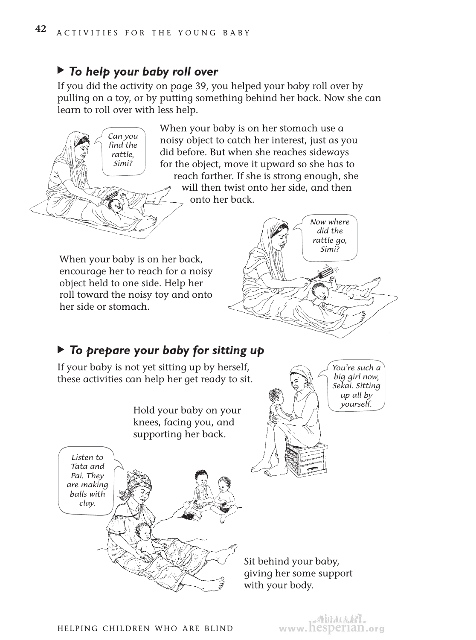# **▶ To help your baby roll over**

*Can you find the rattle, Simi?*

If you did the activity on page 39, you helped your baby roll over by pulling on a toy, or by putting something behind her back. Now she can learn to roll over with less help.



When your baby is on her back, encourage her to reach for a noisy object held to one side. Help her roll toward the noisy toy and onto her side or stomach.



*You're such a big girl now, Sekai. Sitting up all by yourself.*

# *To prepare your baby for sitting up* ▲

If your baby is not yet sitting up by herself, these activities can help her get ready to sit.



Sit behind your baby, giving her some support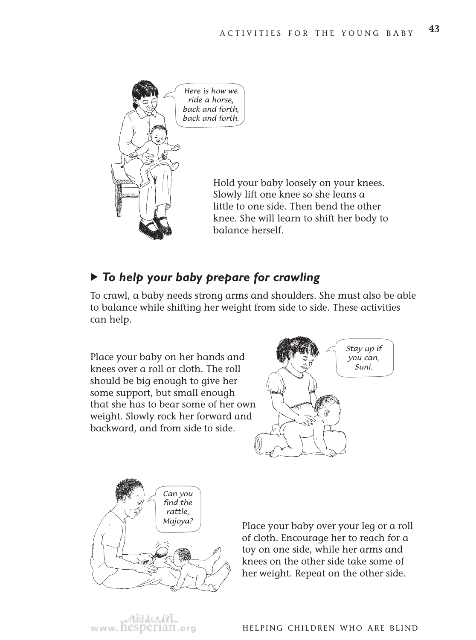

Hold your baby loosely on your knees. Slowly lift one knee so she leans a little to one side. Then bend the other knee. She will learn to shift her body to balance herself.

## *To help your baby prepare for crawling* ▲

To crawl, a baby needs strong arms and shoulders. She must also be able to balance while shifting her weight from side to side. These activities can help.

Place your baby on her hands and knees over a roll or cloth. The roll should be big enough to give her some support, but small enough that she has to bear some of her own weight. Slowly rock her forward and backward, and from side to side.





Place your baby over your leg or a roll of cloth. Encourage her to reach for a toy on one side, while her arms and knees on the other side take some of her weight. Repeat on the other side.

. Alikara (?). www.hesperian.org